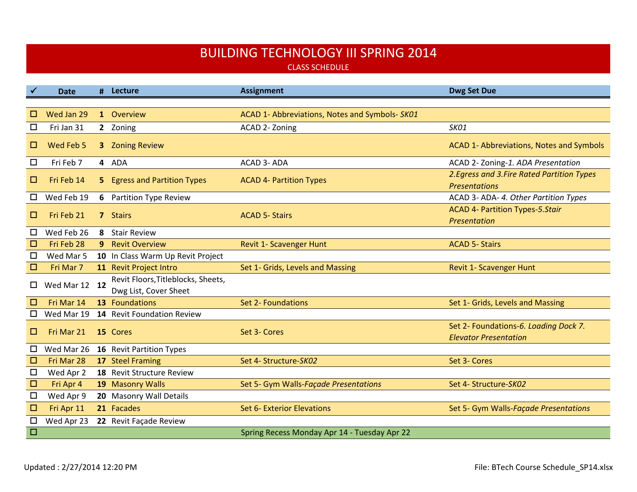## BUILDING TECHNOLOGY III SPRING 2014

CLASS SCHEDULE

|        | Date          |                | # Lecture                             | <b>Assignment</b>                              | <b>Dwg Set Due</b>                                                    |
|--------|---------------|----------------|---------------------------------------|------------------------------------------------|-----------------------------------------------------------------------|
|        |               |                |                                       |                                                |                                                                       |
| $\Box$ | Wed Jan 29    |                | 1 Overview                            | ACAD 1- Abbreviations, Notes and Symbols- SK01 |                                                                       |
| □      | Fri Jan 31    |                | 2 Zoning                              | ACAD 2- Zoning                                 | SK01                                                                  |
| □      | Wed Feb 5     | 3 <sup>1</sup> | <b>Zoning Review</b>                  |                                                | ACAD 1- Abbreviations, Notes and Symbols                              |
| $\Box$ | Fri Feb 7     |                | 4 ADA                                 | ACAD 3- ADA                                    | ACAD 2- Zoning-1. ADA Presentation                                    |
| □      | Fri Feb 14    | 5              | <b>Egress and Partition Types</b>     | <b>ACAD 4- Partition Types</b>                 | 2. Egress and 3. Fire Rated Partition Types<br><b>Presentations</b>   |
| □      | Wed Feb 19    | 6              | <b>Partition Type Review</b>          |                                                | ACAD 3- ADA- 4. Other Partition Types                                 |
| □      | Fri Feb 21    |                | 7 Stairs                              | <b>ACAD 5- Stairs</b>                          | ACAD 4- Partition Types-5.Stair<br>Presentation                       |
| □      | Wed Feb 26    | 8              | <b>Stair Review</b>                   |                                                |                                                                       |
| □      | Fri Feb 28    | 9              | <b>Revit Overview</b>                 | Revit 1- Scavenger Hunt                        | <b>ACAD 5- Stairs</b>                                                 |
| □      | Wed Mar 5     |                | 10 In Class Warm Up Revit Project     |                                                |                                                                       |
| $\Box$ | Fri Mar 7     |                | 11 Revit Project Intro                | Set 1- Grids, Levels and Massing               | <b>Revit 1- Scavenger Hunt</b>                                        |
| 0      | Wed Mar 12 12 |                | Revit Floors, Titleblocks, Sheets,    |                                                |                                                                       |
|        |               |                | Dwg List, Cover Sheet                 |                                                |                                                                       |
| $\Box$ | Fri Mar 14    |                | 13 Foundations                        | Set 2- Foundations                             | Set 1- Grids, Levels and Massing                                      |
| $\Box$ |               |                | Wed Mar 19 14 Revit Foundation Review |                                                |                                                                       |
| □      | Fri Mar 21    |                | 15 Cores                              | Set 3- Cores                                   | Set 2- Foundations-6. Loading Dock 7.<br><b>Elevator Presentation</b> |
| $\Box$ | Wed Mar 26    |                | 16 Revit Partition Types              |                                                |                                                                       |
| $\Box$ | Fri Mar 28    |                | 17 Steel Framing                      | Set 4- Structure-SK02                          | Set 3- Cores                                                          |
| □      | Wed Apr 2     |                | 18 Revit Structure Review             |                                                |                                                                       |
| □      | Fri Apr 4     |                | 19 Masonry Walls                      | Set 5- Gym Walls-Façade Presentations          | Set 4- Structure-SK02                                                 |
| $\Box$ | Wed Apr 9     |                | 20 Masonry Wall Details               |                                                |                                                                       |
| $\Box$ | Fri Apr 11    |                | 21 Facades                            | Set 6- Exterior Elevations                     | Set 5- Gym Walls-Façade Presentations                                 |
| □      | Wed Apr 23    |                | 22 Revit Façade Review                |                                                |                                                                       |
| $\Box$ |               |                |                                       | Spring Recess Monday Apr 14 - Tuesday Apr 22   |                                                                       |